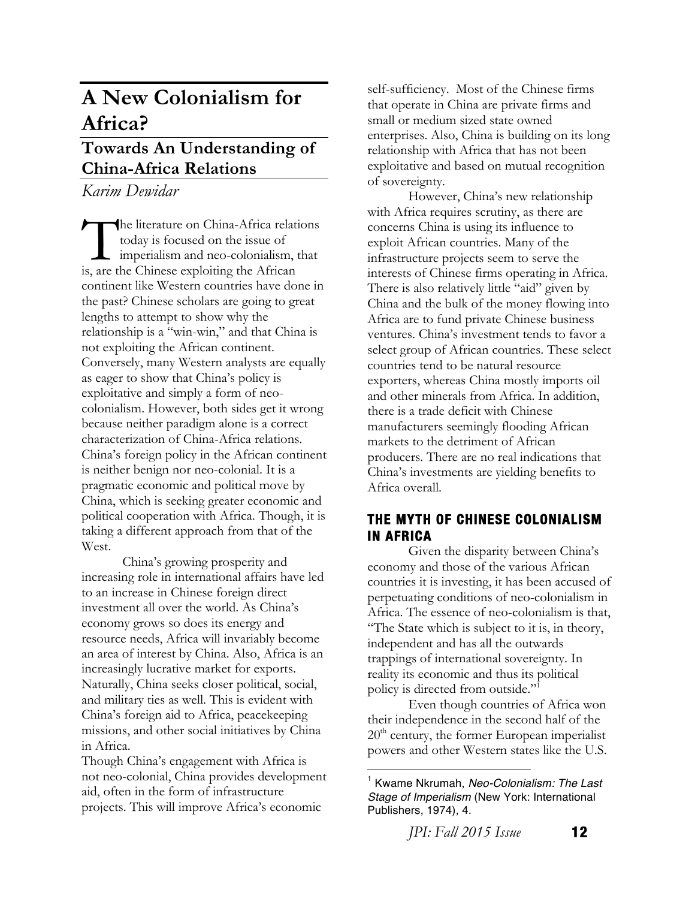# **A New Colonialism for Africa?**

## **Towards An Understanding of China-Africa Relations**

*Karim Dewidar*

he literature on China-Africa relations today is focused on the issue of imperialism and neo-colonialism, that The literature on China-Africa relation<br>today is focused on the issue of<br>imperialism and neo-colonialism, the<br>is, are the Chinese exploiting the African continent like Western countries have done in the past? Chinese scholars are going to great lengths to attempt to show why the relationship is a "win-win," and that China is not exploiting the African continent. Conversely, many Western analysts are equally as eager to show that China's policy is exploitative and simply a form of neocolonialism. However, both sides get it wrong because neither paradigm alone is a correct characterization of China-Africa relations. China's foreign policy in the African continent is neither benign nor neo-colonial. It is a pragmatic economic and political move by China, which is seeking greater economic and political cooperation with Africa. Though, it is taking a different approach from that of the West.

China's growing prosperity and increasing role in international affairs have led to an increase in Chinese foreign direct investment all over the world. As China's economy grows so does its energy and resource needs, Africa will invariably become an area of interest by China. Also, Africa is an increasingly lucrative market for exports. Naturally, China seeks closer political, social, and military ties as well. This is evident with China's foreign aid to Africa, peacekeeping missions, and other social initiatives by China in Africa.

Though China's engagement with Africa is not neo-colonial, China provides development aid, often in the form of infrastructure projects. This will improve Africa's economic

self-sufficiency. Most of the Chinese firms that operate in China are private firms and small or medium sized state owned enterprises. Also, China is building on its long relationship with Africa that has not been exploitative and based on mutual recognition of sovereignty.

However, China's new relationship with Africa requires scrutiny, as there are concerns China is using its influence to exploit African countries. Many of the infrastructure projects seem to serve the interests of Chinese firms operating in Africa. There is also relatively little "aid" given by China and the bulk of the money flowing into Africa are to fund private Chinese business ventures. China's investment tends to favor a select group of African countries. These select countries tend to be natural resource exporters, whereas China mostly imports oil and other minerals from Africa. In addition, there is a trade deficit with Chinese manufacturers seemingly flooding African markets to the detriment of African producers. There are no real indications that China's investments are yielding benefits to Africa overall.

### **THE MYTH OF CHINESE COLONIALISM IN AFRICA**

Given the disparity between China's economy and those of the various African countries it is investing, it has been accused of perpetuating conditions of neo-colonialism in Africa. The essence of neo-colonialism is that, "The State which is subject to it is, in theory, independent and has all the outwards trappings of international sovereignty. In reality its economic and thus its political policy is directed from outside."1

Even though countries of Africa won their independence in the second half of the  $20<sup>th</sup>$  century, the former European imperialist powers and other Western states like the U.S.

*JPI: Fall 2015 Issue* **12** 

<sup>1</sup> Kwame Nkrumah, *Neo-Colonialism: The Last Stage of Imperialism* (New York: International Publishers, 1974), 4.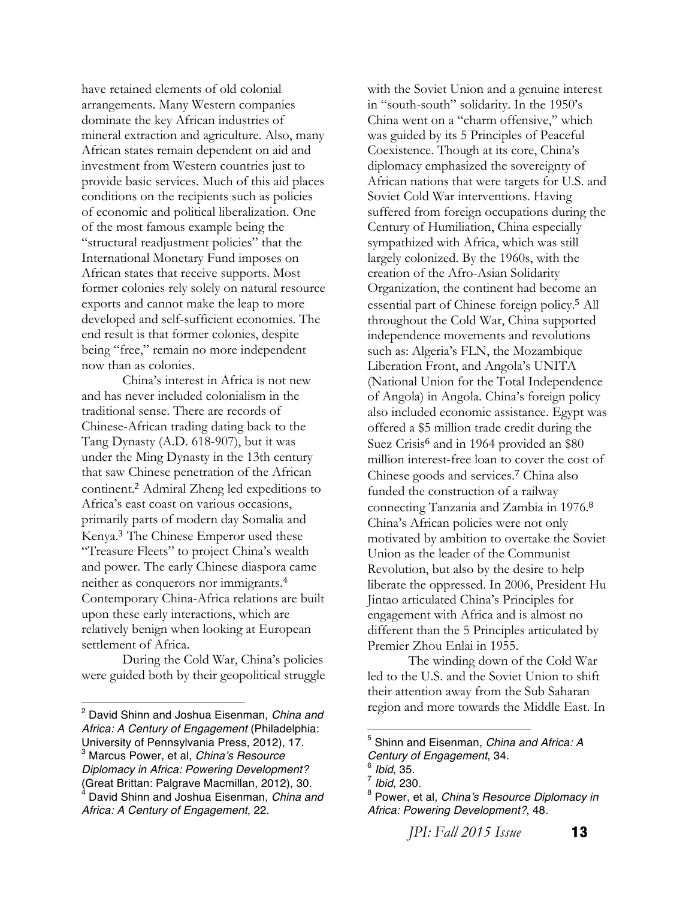have retained elements of old colonial arrangements. Many Western companies dominate the key African industries of mineral extraction and agriculture. Also, many African states remain dependent on aid and investment from Western countries just to provide basic services. Much of this aid places conditions on the recipients such as policies of economic and political liberalization. One of the most famous example being the "structural readjustment policies" that the International Monetary Fund imposes on African states that receive supports. Most former colonies rely solely on natural resource exports and cannot make the leap to more developed and self-sufficient economies. The end result is that former colonies, despite being "free," remain no more independent now than as colonies.

China's interest in Africa is not new and has never included colonialism in the traditional sense. There are records of Chinese-African trading dating back to the Tang Dynasty (A.D. 618-907), but it was under the Ming Dynasty in the 13th century that saw Chinese penetration of the African continent.<sup>2</sup> Admiral Zheng led expeditions to Africa's east coast on various occasions, primarily parts of modern day Somalia and Kenya.<sup>3</sup> The Chinese Emperor used these "Treasure Fleets" to project China's wealth and power. The early Chinese diaspora came neither as conquerors nor immigrants.<sup>4</sup> Contemporary China-Africa relations are built upon these early interactions, which are relatively benign when looking at European settlement of Africa.

During the Cold War, China's policies were guided both by their geopolitical struggle

 

with the Soviet Union and a genuine interest in "south-south" solidarity. In the 1950's China went on a "charm offensive," which was guided by its 5 Principles of Peaceful Coexistence. Though at its core, China's diplomacy emphasized the sovereignty of African nations that were targets for U.S. and Soviet Cold War interventions. Having suffered from foreign occupations during the Century of Humiliation, China especially sympathized with Africa, which was still largely colonized. By the 1960s, with the creation of the Afro-Asian Solidarity Organization, the continent had become an essential part of Chinese foreign policy.<sup>5</sup> All throughout the Cold War, China supported independence movements and revolutions such as: Algeria's FLN, the Mozambique Liberation Front, and Angola's UNITA (National Union for the Total Independence of Angola) in Angola. China's foreign policy also included economic assistance. Egypt was offered a \$5 million trade credit during the Suez Crisis<sup>6</sup> and in 1964 provided an \$80 million interest-free loan to cover the cost of Chinese goods and services.<sup>7</sup> China also funded the construction of a railway connecting Tanzania and Zambia in 1976.<sup>8</sup> China's African policies were not only motivated by ambition to overtake the Soviet Union as the leader of the Communist Revolution, but also by the desire to help liberate the oppressed. In 2006, President Hu Jintao articulated China's Principles for engagement with Africa and is almost no different than the 5 Principles articulated by Premier Zhou Enlai in 1955.

The winding down of the Cold War led to the U.S. and the Soviet Union to shift their attention away from the Sub Saharan region and more towards the Middle East. In

 

*JPI: Fall 2015 Issue* **13** 

<sup>2</sup> David Shinn and Joshua Eisenman, *China and Africa: A Century of Engagement* (Philadelphia: University of Pennsylvania Press, 2012), 17. <sup>3</sup> Marcus Power, et al, *China's Resource Diplomacy in Africa: Powering Development?*  Great Brittan: Palgrave Macmillan, 2012), 30. <sup>4</sup> David Shinn and Joshua Eisenman, *China and Africa: A Century of Engagement*, 22.

<sup>5</sup> Shinn and Eisenman, *China and Africa: A Century of Engagement*, 34.<br><sup>6</sup> *Ibid*, 35.<br><sup>7</sup> *Ibid*, 230.<br><sup>8</sup> Power, et al, *China's Resource Diplomacy in* 

*Africa: Powering Development?*, 48.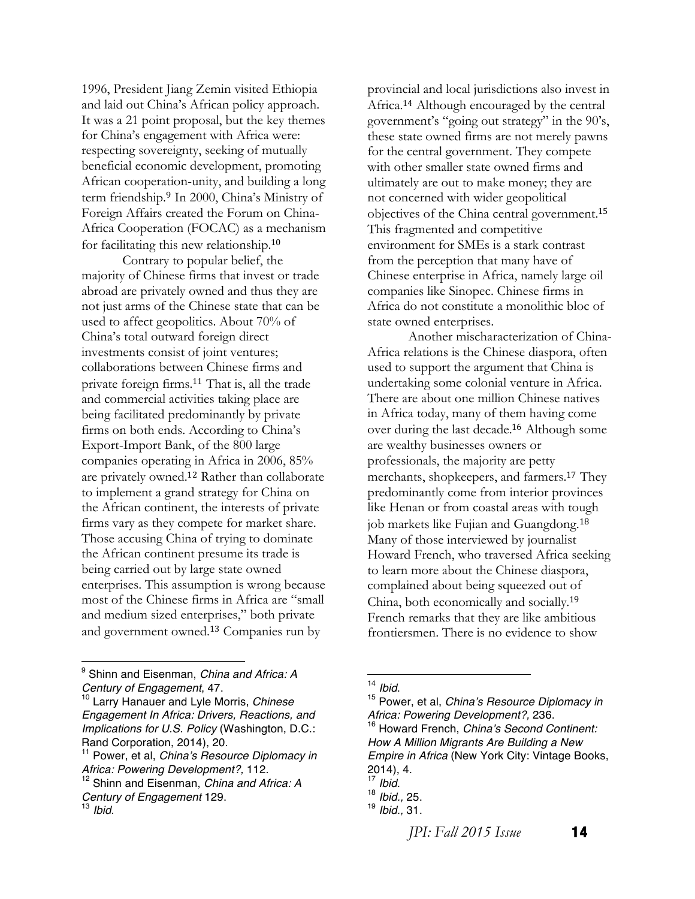1996, President Jiang Zemin visited Ethiopia and laid out China's African policy approach. It was a 21 point proposal, but the key themes for China's engagement with Africa were: respecting sovereignty, seeking of mutually beneficial economic development, promoting African cooperation-unity, and building a long term friendship.<sup>9</sup> In 2000, China's Ministry of Foreign Affairs created the Forum on China-Africa Cooperation (FOCAC) as a mechanism for facilitating this new relationship.<sup>10</sup>

Contrary to popular belief, the majority of Chinese firms that invest or trade abroad are privately owned and thus they are not just arms of the Chinese state that can be used to affect geopolitics. About 70% of China's total outward foreign direct investments consist of joint ventures; collaborations between Chinese firms and private foreign firms.<sup>11</sup> That is, all the trade and commercial activities taking place are being facilitated predominantly by private firms on both ends. According to China's Export-Import Bank, of the 800 large companies operating in Africa in 2006, 85% are privately owned.<sup>12</sup> Rather than collaborate to implement a grand strategy for China on the African continent, the interests of private firms vary as they compete for market share. Those accusing China of trying to dominate the African continent presume its trade is being carried out by large state owned enterprises. This assumption is wrong because most of the Chinese firms in Africa are "small and medium sized enterprises," both private and government owned.<sup>13</sup> Companies run by

 

provincial and local jurisdictions also invest in Africa.<sup>14</sup> Although encouraged by the central government's "going out strategy" in the 90's, these state owned firms are not merely pawns for the central government. They compete with other smaller state owned firms and ultimately are out to make money; they are not concerned with wider geopolitical objectives of the China central government.<sup>15</sup> This fragmented and competitive environment for SMEs is a stark contrast from the perception that many have of Chinese enterprise in Africa, namely large oil companies like Sinopec. Chinese firms in Africa do not constitute a monolithic bloc of state owned enterprises.

Another mischaracterization of China-Africa relations is the Chinese diaspora, often used to support the argument that China is undertaking some colonial venture in Africa. There are about one million Chinese natives in Africa today, many of them having come over during the last decade.<sup>16</sup> Although some are wealthy businesses owners or professionals, the majority are petty merchants, shopkeepers, and farmers.<sup>17</sup> They predominantly come from interior provinces like Henan or from coastal areas with tough job markets like Fujian and Guangdong.<sup>18</sup> Many of those interviewed by journalist Howard French, who traversed Africa seeking to learn more about the Chinese diaspora, complained about being squeezed out of China, both economically and socially.<sup>19</sup> French remarks that they are like ambitious frontiersmen. There is no evidence to show

*JPI: Fall 2015 Issue* **14** 

<sup>9</sup> Shinn and Eisenman, *China and Africa: A Century of Engagement*, 47. <sup>10</sup> Larry Hanauer and Lyle Morris, *Chinese* 

*Engagement In Africa: Drivers, Reactions, and Implications for U.S. Policy* (Washington, D.C.: Rand Corporation, 2014), 20.<br><sup>11</sup> Power, et al, *China's Resource Diplomacy in* 

*Africa: Powering Development?,* 112.

<sup>12</sup> Shinn and Eisenman, *China and Africa: A Century of Engagement* 129. <sup>13</sup> *Ibid*.

<sup>&</sup>lt;sup>14</sup> Ibid.<br><sup>15</sup> Power, et al, *China's Resource Diplomacy in*<br>Africa: Powering Development?, 236. *Africa: Powering Development?,* 236. <sup>16</sup> Howard French, *China's Second Continent: How A Million Migrants Are Building a New Empire in Africa* (New York City: Vintage Books,

<sup>2014),</sup> 4. <sup>17</sup> *Ibid*. <sup>18</sup> *Ibid.,* 25. <sup>19</sup> *Ibid.,* 31.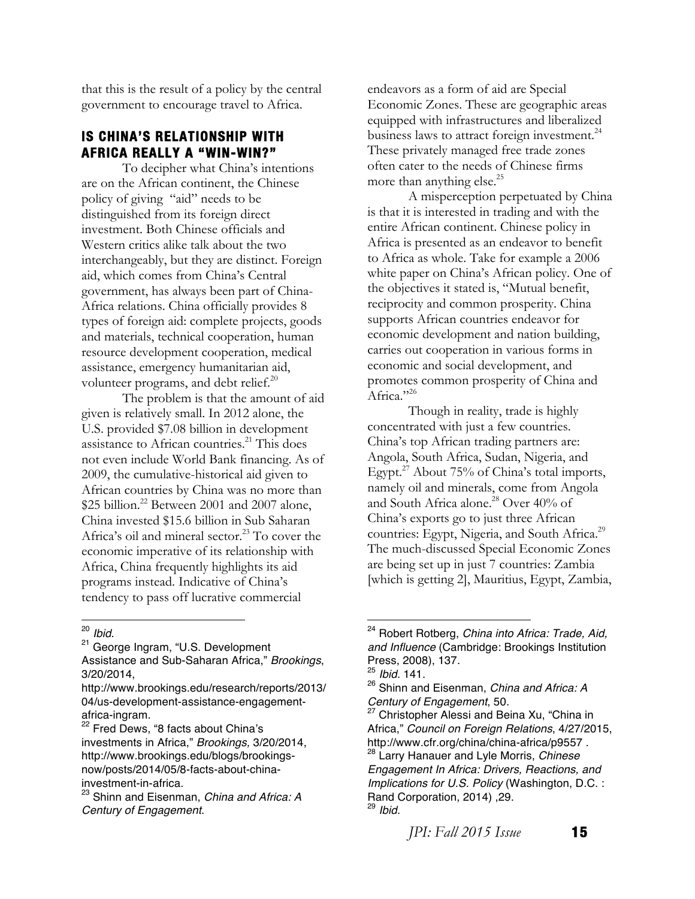that this is the result of a policy by the central government to encourage travel to Africa.

#### **IS CHINA'S RELATIONSHIP WITH AFRICA REALLY A "WIN-WIN?"**

To decipher what China's intentions are on the African continent, the Chinese policy of giving "aid" needs to be distinguished from its foreign direct investment. Both Chinese officials and Western critics alike talk about the two interchangeably, but they are distinct. Foreign aid, which comes from China's Central government, has always been part of China-Africa relations. China officially provides 8 types of foreign aid: complete projects, goods and materials, technical cooperation, human resource development cooperation, medical assistance, emergency humanitarian aid, volunteer programs, and debt relief.<sup>20</sup>

The problem is that the amount of aid given is relatively small. In 2012 alone, the U.S. provided \$7.08 billion in development assistance to African countries.<sup>21</sup> This does not even include World Bank financing. As of 2009, the cumulative-historical aid given to African countries by China was no more than \$25 billion.<sup>22</sup> Between 2001 and 2007 alone, China invested \$15.6 billion in Sub Saharan Africa's oil and mineral sector.<sup>23</sup> To cover the economic imperative of its relationship with Africa, China frequently highlights its aid programs instead. Indicative of China's tendency to pass off lucrative commercial

 

<sup>22</sup> Fred Dews, "8 facts about China's investments in Africa," *Brookings,* 3/20/2014, http://www.brookings.edu/blogs/brookingsnow/posts/2014/05/8-facts-about-chinainvestment-in-africa. <sup>23</sup> Shinn and Eisenman, *China and Africa: A* 

endeavors as a form of aid are Special Economic Zones. These are geographic areas equipped with infrastructures and liberalized business laws to attract foreign investment.<sup>24</sup> These privately managed free trade zones often cater to the needs of Chinese firms more than anything else.<sup>25</sup>

A misperception perpetuated by China is that it is interested in trading and with the entire African continent. Chinese policy in Africa is presented as an endeavor to benefit to Africa as whole. Take for example a 2006 white paper on China's African policy. One of the objectives it stated is, "Mutual benefit, reciprocity and common prosperity. China supports African countries endeavor for economic development and nation building, carries out cooperation in various forms in economic and social development, and promotes common prosperity of China and Africa."<sup>26</sup>

Though in reality, trade is highly concentrated with just a few countries. China's top African trading partners are: Angola, South Africa, Sudan, Nigeria, and Egypt.<sup>27</sup> About 75% of China's total imports, namely oil and minerals, come from Angola and South Africa alone.<sup>28</sup> Over 40% of China's exports go to just three African countries: Egypt, Nigeria, and South Africa.<sup>29</sup> The much-discussed Special Economic Zones are being set up in just 7 countries: Zambia [which is getting 2], Mauritius, Egypt, Zambia,

<sup>&</sup>lt;sup>20</sup> *Ibid.*<br><sup>21</sup> George Ingram, "U.S. Development Assistance and Sub-Saharan Africa," *Brookings*,

<sup>3/20/2014,</sup> 

http://www.brookings.edu/research/reports/2013/ 04/us-development-assistance-engagementafrica-ingram.

*Century of Engagement*.

<sup>24</sup> Robert Rotberg, *China into Africa: Trade, Aid, and Influence* (Cambridge: Brookings Institution Press, 2008), 137. <sup>25</sup> *Ibid.* 141. <sup>26</sup> Shinn and Eisenman, *China and Africa: <sup>A</sup>*

*Century of Engagement*, 50. <sup>27</sup> Christopher Alessi and Beina Xu, "China in

Africa," *Council on Foreign Relations*, 4/27/2015, http://www.cfr.org/china/china-africa/p9557 . <sup>28</sup> Larry Hanauer and Lyle Morris, *Chinese* 

*Engagement In Africa: Drivers, Reactions, and Implications for U.S. Policy* (Washington, D.C. : Rand Corporation, 2014) ,29. <sup>29</sup> *Ibid.*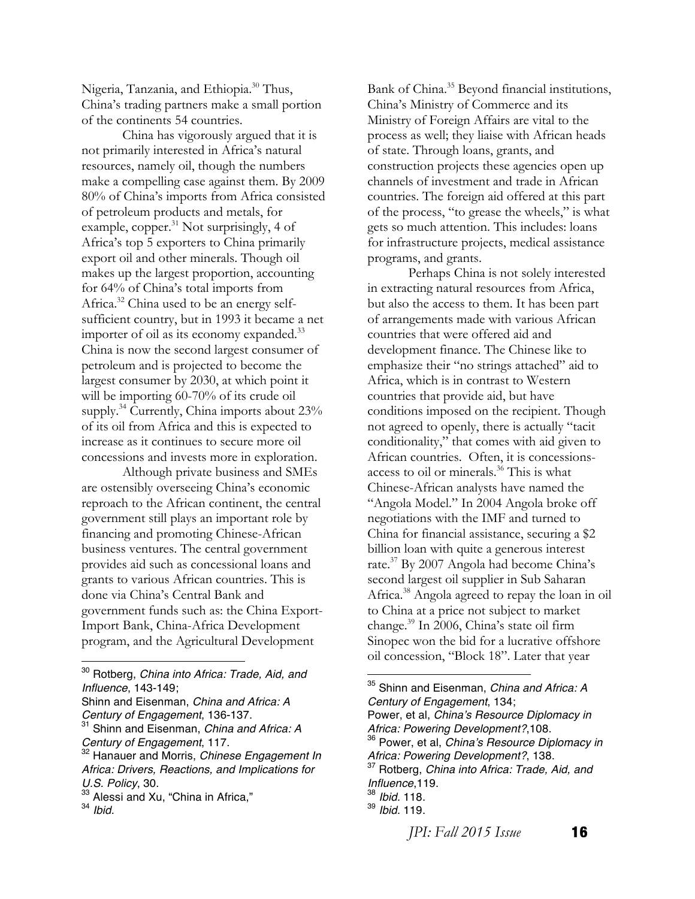Nigeria, Tanzania, and Ethiopia.<sup>30</sup> Thus, China's trading partners make a small portion of the continents 54 countries.

China has vigorously argued that it is not primarily interested in Africa's natural resources, namely oil, though the numbers make a compelling case against them. By 2009 80% of China's imports from Africa consisted of petroleum products and metals, for example, copper.<sup>31</sup> Not surprisingly, 4 of Africa's top 5 exporters to China primarily export oil and other minerals. Though oil makes up the largest proportion, accounting for 64% of China's total imports from Africa.<sup>32</sup> China used to be an energy selfsufficient country, but in 1993 it became a net importer of oil as its economy expanded.<sup>33</sup> China is now the second largest consumer of petroleum and is projected to become the largest consumer by 2030, at which point it will be importing 60-70% of its crude oil supply.<sup>34</sup> Currently, China imports about 23% of its oil from Africa and this is expected to increase as it continues to secure more oil concessions and invests more in exploration.

Although private business and SMEs are ostensibly overseeing China's economic reproach to the African continent, the central government still plays an important role by financing and promoting Chinese-African business ventures. The central government provides aid such as concessional loans and grants to various African countries. This is done via China's Central Bank and government funds such as: the China Export-Import Bank, China-Africa Development program, and the Agricultural Development

 

Bank of China.<sup>35</sup> Beyond financial institutions, China's Ministry of Commerce and its Ministry of Foreign Affairs are vital to the process as well; they liaise with African heads of state. Through loans, grants, and construction projects these agencies open up channels of investment and trade in African countries. The foreign aid offered at this part of the process, "to grease the wheels," is what gets so much attention. This includes: loans for infrastructure projects, medical assistance programs, and grants.

Perhaps China is not solely interested in extracting natural resources from Africa, but also the access to them. It has been part of arrangements made with various African countries that were offered aid and development finance. The Chinese like to emphasize their "no strings attached" aid to Africa, which is in contrast to Western countries that provide aid, but have conditions imposed on the recipient. Though not agreed to openly, there is actually "tacit conditionality," that comes with aid given to African countries. Often, it is concessionsaccess to oil or minerals.36 This is what Chinese-African analysts have named the "Angola Model." In 2004 Angola broke off negotiations with the IMF and turned to China for financial assistance, securing a \$2 billion loan with quite a generous interest rate.<sup>37</sup> By 2007 Angola had become China's second largest oil supplier in Sub Saharan Africa.<sup>38</sup> Angola agreed to repay the loan in oil to China at a price not subject to market change.39 In 2006, China's state oil firm Sinopec won the bid for a lucrative offshore oil concession, "Block 18". Later that year

*JPI: Fall 2015 Issue* **16** 

<sup>30</sup> Rotberg, *China into Africa: Trade, Aid, and Influence*, 143-149;

Shinn and Eisenman, *China and Africa: A Century of Engagement*, 136-137. <sup>31</sup> Shinn and Eisenman, *China and Africa: A* 

*Century of Engagement*, 117.<br><sup>32</sup> Hanauer and Morris, *Chinese Engagement In* 

*Africa: Drivers, Reactions, and Implications for U.S. Policy*, 30.<br><sup>33</sup> Alessi and Xu, "China in Africa,"

<sup>34</sup> *Ibid.*

<sup>35</sup> Shinn and Eisenman, *China and Africa: A Century of Engagement*, 134; Power, et al, *China's Resource Diplomacy in Africa: Powering Development?*,108.<br><sup>36</sup> Power, et al, *China's Resource Diplomacy in Africa: Powering Development?*, 138.<br><sup>37</sup> Rotberg, *China into Africa: Trade, Aid, and* 

*Influence*,119. <sup>38</sup> *Ibid.* 118. <sup>39</sup> *Ibid.* 119.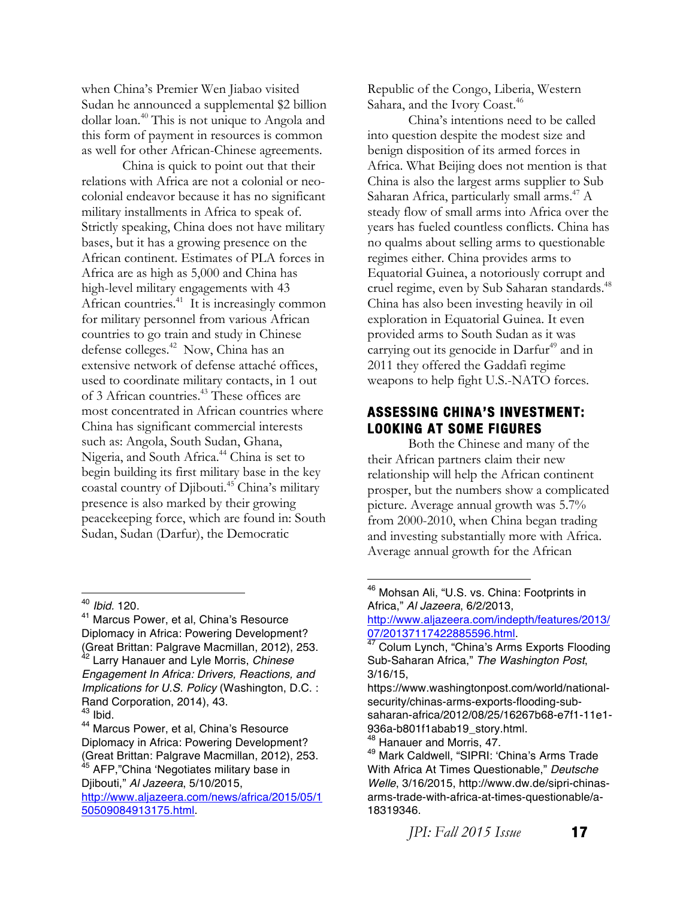when China's Premier Wen Jiabao visited Sudan he announced a supplemental \$2 billion dollar loan.40 This is not unique to Angola and this form of payment in resources is common as well for other African-Chinese agreements.

China is quick to point out that their relations with Africa are not a colonial or neocolonial endeavor because it has no significant military installments in Africa to speak of. Strictly speaking, China does not have military bases, but it has a growing presence on the African continent. Estimates of PLA forces in Africa are as high as 5,000 and China has high-level military engagements with 43 African countries.<sup>41</sup> It is increasingly common for military personnel from various African countries to go train and study in Chinese defense colleges.<sup>42</sup> Now, China has an extensive network of defense attaché offices, used to coordinate military contacts, in 1 out of 3 African countries.<sup>43</sup> These offices are most concentrated in African countries where China has significant commercial interests such as: Angola, South Sudan, Ghana, Nigeria, and South Africa.44 China is set to begin building its first military base in the key coastal country of Djibouti.45 China's military presence is also marked by their growing peacekeeping force, which are found in: South Sudan, Sudan (Darfur), the Democratic

 

Diplomacy in Africa: Powering Development? (Great Brittan: Palgrave Macmillan, 2012), 253. <sup>45</sup> AFP,"China 'Negotiates military base in

Djibouti," *Al Jazeera*, 5/10/2015, http://www.aljazeera.com/news/africa/2015/05/1 50509084913175.html.

Republic of the Congo, Liberia, Western Sahara, and the Ivory Coast.<sup>46</sup>

China's intentions need to be called into question despite the modest size and benign disposition of its armed forces in Africa. What Beijing does not mention is that China is also the largest arms supplier to Sub Saharan Africa, particularly small arms.<sup>47</sup> A steady flow of small arms into Africa over the years has fueled countless conflicts. China has no qualms about selling arms to questionable regimes either. China provides arms to Equatorial Guinea, a notoriously corrupt and cruel regime, even by Sub Saharan standards.<sup>48</sup> China has also been investing heavily in oil exploration in Equatorial Guinea. It even provided arms to South Sudan as it was carrying out its genocide in Darfur<sup>49</sup> and in 2011 they offered the Gaddafi regime weapons to help fight U.S.-NATO forces.

#### **ASSESSING CHINA'S INVESTMENT: LOOKING AT SOME FIGURES**

Both the Chinese and many of the their African partners claim their new relationship will help the African continent prosper, but the numbers show a complicated picture. Average annual growth was 5.7% from 2000-2010, when China began trading and investing substantially more with Africa. Average annual growth for the African

<sup>40</sup> *Ibid.* 120.<br><sup>41</sup> Marcus Power, et al, China's Resource Diplomacy in Africa: Powering Development? (Great Brittan: Palgrave Macmillan, 2012), 253. <sup>42</sup> Larry Hanauer and Lyle Morris, *Chinese Engagement In Africa: Drivers, Reactions, and Implications for U.S. Policy* (Washington, D.C. : Rand Corporation, 2014), 43.<br><sup>43</sup> Ibid.<br><sup>44</sup> Marcus Power, et al, China's Resource

<sup>46</sup> Mohsan Ali, "U.S. vs. China: Footprints in Africa," *Al Jazeera*, 6/2/2013,

http://www.aljazeera.com/indepth/features/2013/ 07/20137117422885596.html.<br><sup>47</sup> Colum Lynch, "China's Arms Exports Flooding

Sub-Saharan Africa," *The Washington Post*, 3/16/15,

https://www.washingtonpost.com/world/nationalsecurity/chinas-arms-exports-flooding-subsaharan-africa/2012/08/25/16267b68-e7f1-11e1- 936a-b801f1abab19\_story.html.<br><sup>48</sup> Hanauer and Morris, 47.

<sup>49</sup> Mark Caldwell, "SIPRI: 'China's Arms Trade With Africa At Times Questionable," *Deutsche Welle*, 3/16/2015, http://www.dw.de/sipri-chinasarms-trade-with-africa-at-times-questionable/a-18319346.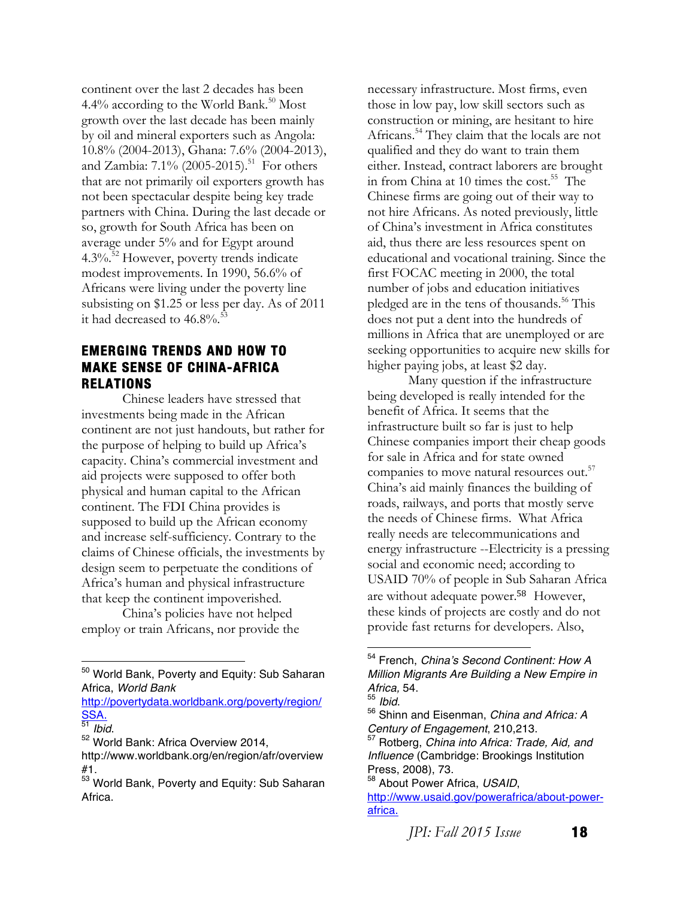continent over the last 2 decades has been 4.4% according to the World Bank.<sup>50</sup> Most growth over the last decade has been mainly by oil and mineral exporters such as Angola: 10.8% (2004-2013), Ghana: 7.6% (2004-2013), and Zambia:  $7.1\%$  (2005-2015).<sup>51</sup> For others that are not primarily oil exporters growth has not been spectacular despite being key trade partners with China. During the last decade or so, growth for South Africa has been on average under 5% and for Egypt around  $4.3\%$ <sup>52</sup> However, poverty trends indicate modest improvements. In 1990, 56.6% of Africans were living under the poverty line subsisting on \$1.25 or less per day. As of 2011 it had decreased to 46.8%.<sup>5</sup>

#### **EMERGING TRENDS AND HOW TO MAKE SENSE OF CHINA-AFRICA RELATIONS**

Chinese leaders have stressed that investments being made in the African continent are not just handouts, but rather for the purpose of helping to build up Africa's capacity. China's commercial investment and aid projects were supposed to offer both physical and human capital to the African continent. The FDI China provides is supposed to build up the African economy and increase self-sufficiency. Contrary to the claims of Chinese officials, the investments by design seem to perpetuate the conditions of Africa's human and physical infrastructure that keep the continent impoverished.

China's policies have not helped employ or train Africans, nor provide the

http://povertydata.worldbank.org/poverty/region/<br>SSA.<br>51 Ibid.

<sup>52</sup> World Bank: Africa Overview 2014,

 

necessary infrastructure. Most firms, even those in low pay, low skill sectors such as construction or mining, are hesitant to hire Africans.54 They claim that the locals are not qualified and they do want to train them either. Instead, contract laborers are brought in from China at 10 times the  $cost.^{55}$  The Chinese firms are going out of their way to not hire Africans. As noted previously, little of China's investment in Africa constitutes aid, thus there are less resources spent on educational and vocational training. Since the first FOCAC meeting in 2000, the total number of jobs and education initiatives pledged are in the tens of thousands.<sup>56</sup> This does not put a dent into the hundreds of millions in Africa that are unemployed or are seeking opportunities to acquire new skills for higher paying jobs, at least \$2 day.

Many question if the infrastructure being developed is really intended for the benefit of Africa. It seems that the infrastructure built so far is just to help Chinese companies import their cheap goods for sale in Africa and for state owned companies to move natural resources out.<sup>57</sup> China's aid mainly finances the building of roads, railways, and ports that mostly serve the needs of Chinese firms. What Africa really needs are telecommunications and energy infrastructure --Electricity is a pressing social and economic need; according to USAID 70% of people in Sub Saharan Africa are without adequate power.<sup>58</sup> However, these kinds of projects are costly and do not provide fast returns for developers. Also,

 

*JPI: Fall 2015 Issue* **18** 

<sup>&</sup>lt;sup>50</sup> World Bank, Poverty and Equity: Sub Saharan Africa, *World Bank*

http://www.worldbank.org/en/region/afr/overview

 $^{53}_{53}$  World Bank, Poverty and Equity: Sub Saharan Africa.

<sup>54</sup> French, *China's Second Continent: How A Million Migrants Are Building a New Empire in* 

<sup>&</sup>lt;sup>56</sup> Shinn and Eisenman, *China and Africa: A Century of Engagement*, 210,213.

*Rotberg, China into Africa: Trade, Aid, and Influence* (Cambridge: Brookings Institution Press, 2008), 73.<br><sup>58</sup> About Power Africa, *USAID*,

http://www.usaid.gov/powerafrica/about-powerafrica.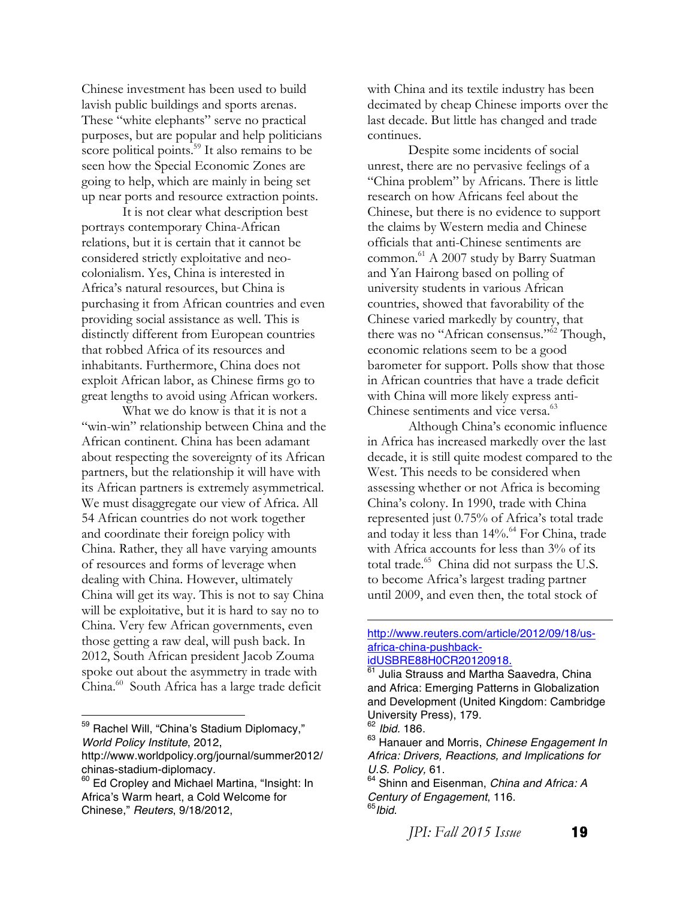Chinese investment has been used to build lavish public buildings and sports arenas. These "white elephants" serve no practical purposes, but are popular and help politicians score political points.<sup>59</sup> It also remains to be seen how the Special Economic Zones are going to help, which are mainly in being set up near ports and resource extraction points.

It is not clear what description best portrays contemporary China-African relations, but it is certain that it cannot be considered strictly exploitative and neocolonialism. Yes, China is interested in Africa's natural resources, but China is purchasing it from African countries and even providing social assistance as well. This is distinctly different from European countries that robbed Africa of its resources and inhabitants. Furthermore, China does not exploit African labor, as Chinese firms go to great lengths to avoid using African workers.

What we do know is that it is not a "win-win" relationship between China and the African continent. China has been adamant about respecting the sovereignty of its African partners, but the relationship it will have with its African partners is extremely asymmetrical. We must disaggregate our view of Africa. All 54 African countries do not work together and coordinate their foreign policy with China. Rather, they all have varying amounts of resources and forms of leverage when dealing with China. However, ultimately China will get its way. This is not to say China will be exploitative, but it is hard to say no to China. Very few African governments, even those getting a raw deal, will push back. In 2012, South African president Jacob Zouma spoke out about the asymmetry in trade with China.60 South Africa has a large trade deficit

59 Rachel Will, "China's Stadium Diplomacy," *World Policy Institute*, 2012,

 

with China and its textile industry has been decimated by cheap Chinese imports over the last decade. But little has changed and trade continues.

Despite some incidents of social unrest, there are no pervasive feelings of a "China problem" by Africans. There is little research on how Africans feel about the Chinese, but there is no evidence to support the claims by Western media and Chinese officials that anti-Chinese sentiments are common.<sup>61</sup> A 2007 study by Barry Suatman and Yan Hairong based on polling of university students in various African countries, showed that favorability of the Chinese varied markedly by country, that there was no "African consensus."<sup>62</sup> Though, economic relations seem to be a good barometer for support. Polls show that those in African countries that have a trade deficit with China will more likely express anti-Chinese sentiments and vice versa.<sup>63</sup>

Although China's economic influence in Africa has increased markedly over the last decade, it is still quite modest compared to the West. This needs to be considered when assessing whether or not Africa is becoming China's colony. In 1990, trade with China represented just 0.75% of Africa's total trade and today it less than 14%.<sup>64</sup> For China, trade with Africa accounts for less than 3% of its total trade.<sup>65</sup> China did not surpass the U.S. to become Africa's largest trading partner until 2009, and even then, the total stock of

<u> 1989 - Jan James James Barnett, fransk politik (d. 1989)</u>

*JPI: Fall 2015 Issue* **19** 

http://www.worldpolicy.org/journal/summer2012/

chinas-stadium-diplomacy.<br> $60$  Ed Cropley and Michael Martina, "Insight: In Africa's Warm heart, a Cold Welcome for Chinese," *Reuters*, 9/18/2012,

http://www.reuters.com/article/2012/09/18/usafrica-china-pushback-

idUSBRE88H0CR20120918.<br><sup>61</sup> Julia Strauss and Martha Saavedra, China and Africa: Emerging Patterns in Globalization and Development (United Kingdom: Cambridge University Press), 179.<br><sup>62</sup> *Ibid.* 186.<br><sup>63</sup> Hanauer and Morris, *Chinese Engagement In* 

*Africa: Drivers, Reactions, and Implications for U.S. Policy,* 61.<br><sup>64</sup> Shinn and Eisenman, *China and Africa: A* 

*Century of Engagement*, 116. <sup>65</sup>*Ibid*.